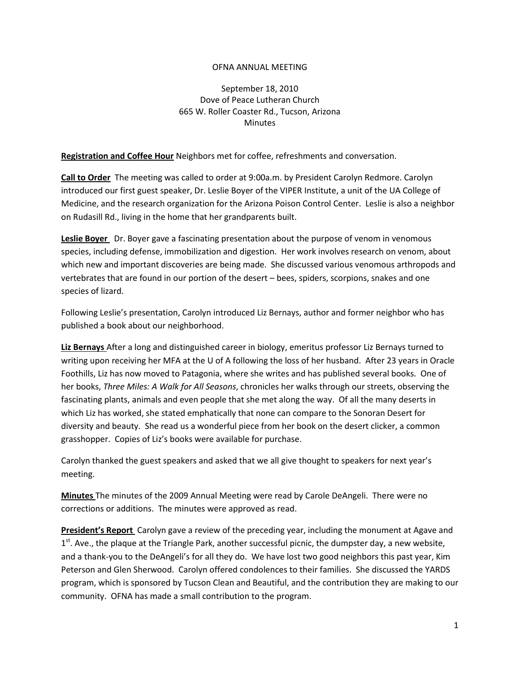## OFNA ANNUAL MEETING

September 18, 2010 Dove of Peace Lutheran Church 665 W. Roller Coaster Rd., Tucson, Arizona **Minutes** 

**Registration and Coffee Hour** Neighbors met for coffee, refreshments and conversation.

**Call to Order** The meeting was called to order at 9:00a.m. by President Carolyn Redmore. Carolyn introduced our first guest speaker, Dr. Leslie Boyer of the VIPER Institute, a unit of the UA College of Medicine, and the research organization for the Arizona Poison Control Center. Leslie is also a neighbor on Rudasill Rd., living in the home that her grandparents built.

**Leslie Boyer** Dr. Boyer gave a fascinating presentation about the purpose of venom in venomous species, including defense, immobilization and digestion. Her work involves research on venom, about which new and important discoveries are being made. She discussed various venomous arthropods and vertebrates that are found in our portion of the desert – bees, spiders, scorpions, snakes and one species of lizard.

Following Leslie's presentation, Carolyn introduced Liz Bernays, author and former neighbor who has published a book about our neighborhood.

**Liz Bernays** After a long and distinguished career in biology, emeritus professor Liz Bernays turned to writing upon receiving her MFA at the U of A following the loss of her husband. After 23 years in Oracle Foothills, Liz has now moved to Patagonia, where she writes and has published several books. One of her books, *Three Miles: A Walk for All Seasons*, chronicles her walks through our streets, observing the fascinating plants, animals and even people that she met along the way. Of all the many deserts in which Liz has worked, she stated emphatically that none can compare to the Sonoran Desert for diversity and beauty. She read us a wonderful piece from her book on the desert clicker, a common grasshopper. Copies of Liz's books were available for purchase.

Carolyn thanked the guest speakers and asked that we all give thought to speakers for next year's meeting.

**Minutes** The minutes of the 2009 Annual Meeting were read by Carole DeAngeli. There were no corrections or additions. The minutes were approved as read.

**President's Report** Carolyn gave a review of the preceding year, including the monument at Agave and 1<sup>st</sup>. Ave., the plaque at the Triangle Park, another successful picnic, the dumpster day, a new website, and a thank-you to the DeAngeli's for all they do. We have lost two good neighbors this past year, Kim Peterson and Glen Sherwood. Carolyn offered condolences to their families. She discussed the YARDS program, which is sponsored by Tucson Clean and Beautiful, and the contribution they are making to our community. OFNA has made a small contribution to the program.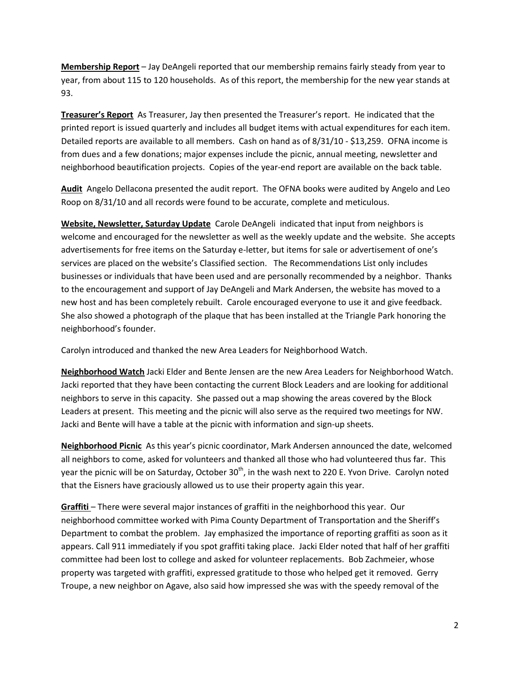**Membership Report** – Jay DeAngeli reported that our membership remains fairly steady from year to year, from about 115 to 120 households. As of this report, the membership for the new year stands at 93.

**Treasurer's Report** As Treasurer, Jay then presented the Treasurer's report. He indicated that the printed report is issued quarterly and includes all budget items with actual expenditures for each item. Detailed reports are available to all members. Cash on hand as of 8/31/10 - \$13,259. OFNA income is from dues and a few donations; major expenses include the picnic, annual meeting, newsletter and neighborhood beautification projects. Copies of the year-end report are available on the back table.

**Audit** Angelo Dellacona presented the audit report. The OFNA books were audited by Angelo and Leo Roop on 8/31/10 and all records were found to be accurate, complete and meticulous.

**Website, Newsletter, Saturday Update** Carole DeAngeli indicated that input from neighbors is welcome and encouraged for the newsletter as well as the weekly update and the website. She accepts advertisements for free items on the Saturday e-letter, but items for sale or advertisement of one's services are placed on the website's Classified section. The Recommendations List only includes businesses or individuals that have been used and are personally recommended by a neighbor. Thanks to the encouragement and support of Jay DeAngeli and Mark Andersen, the website has moved to a new host and has been completely rebuilt. Carole encouraged everyone to use it and give feedback. She also showed a photograph of the plaque that has been installed at the Triangle Park honoring the neighborhood's founder.

Carolyn introduced and thanked the new Area Leaders for Neighborhood Watch.

**Neighborhood Watch** Jacki Elder and Bente Jensen are the new Area Leaders for Neighborhood Watch. Jacki reported that they have been contacting the current Block Leaders and are looking for additional neighbors to serve in this capacity. She passed out a map showing the areas covered by the Block Leaders at present. This meeting and the picnic will also serve as the required two meetings for NW. Jacki and Bente will have a table at the picnic with information and sign-up sheets.

**Neighborhood Picnic** As this year's picnic coordinator, Mark Andersen announced the date, welcomed all neighbors to come, asked for volunteers and thanked all those who had volunteered thus far. This year the picnic will be on Saturday, October 30<sup>th</sup>, in the wash next to 220 E. Yvon Drive. Carolyn noted that the Eisners have graciously allowed us to use their property again this year.

**Graffiti** – There were several major instances of graffiti in the neighborhood this year. Our neighborhood committee worked with Pima County Department of Transportation and the Sheriff's Department to combat the problem. Jay emphasized the importance of reporting graffiti as soon as it appears. Call 911 immediately if you spot graffiti taking place. Jacki Elder noted that half of her graffiti committee had been lost to college and asked for volunteer replacements. Bob Zachmeier, whose property was targeted with graffiti, expressed gratitude to those who helped get it removed. Gerry Troupe, a new neighbor on Agave, also said how impressed she was with the speedy removal of the